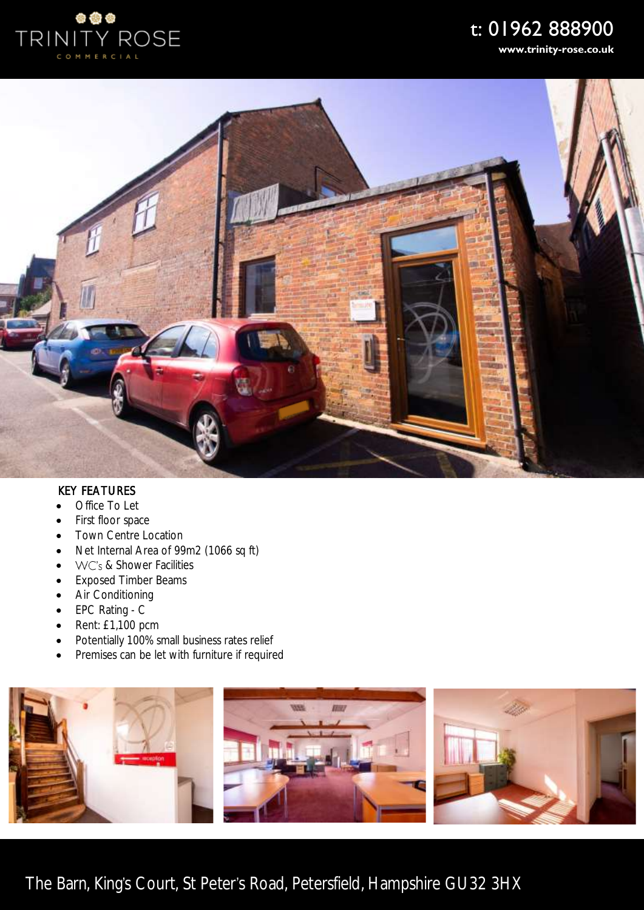

# t: 01962 888900

**www.trinity-rose.co.uk**



## KEY FEATURES

- Office To Let
- First floor space
- Town Centre Location
- Net Internal Area of 99m2 (1066 sq ft)
- WC's & Shower Facilities
- Exposed Timber Beams
- Air Conditioning
- EPC Rating C
- Rent: £1,100 pcm
- Potentially 100% small business rates relief
- Premises can be let with furniture if required



The Barn, King's Court, St Peter's Road, Petersfield, Hampshire GU32 3HX